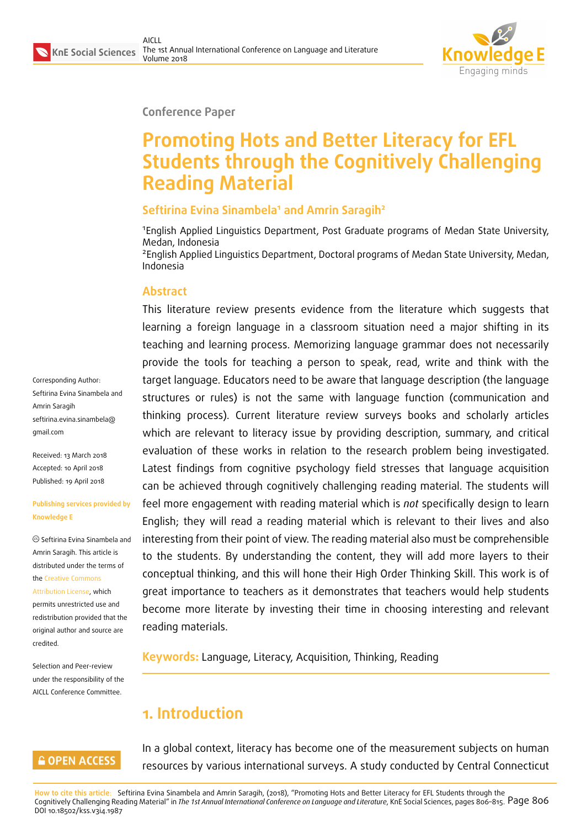

### **Conference Paper**

# **Promoting Hots and Better Literacy for EFL Students through the Cognitively Challenging Reading Material**

## **Seftirina Evina Sinambela<sup>1</sup> and Amrin Saragih<sup>2</sup>**

<sup>1</sup>English Applied Linguistics Department, Post Graduate programs of Medan State University, Medan, Indonesia

<sup>2</sup> English Applied Linguistics Department, Doctoral programs of Medan State University, Medan, Indonesia

## **Abstract**

This literature review presents evidence from the literature which suggests that learning a foreign language in a classroom situation need a major shifting in its teaching and learning process. Memorizing language grammar does not necessarily provide the tools for teaching a person to speak, read, write and think with the target language. Educators need to be aware that language description (the language structures or rules) is not the same with language function (communication and thinking process). Current literature review surveys books and scholarly articles which are relevant to literacy issue by providing description, summary, and critical evaluation of these works in relation to the research problem being investigated. Latest findings from cognitive psychology field stresses that language acquisition can be achieved through cognitively challenging reading material. The students will feel more engagement with reading material which is *not* specifically design to learn English; they will read a reading material which is relevant to their lives and also interesting from their point of view. The reading material also must be comprehensible to the students. By understanding the content, they will add more layers to their conceptual thinking, and this will hone their High Order Thinking Skill. This work is of great importance to teachers as it demonstrates that teachers would help students become more literate by investing their time in choosing interesting and relevant reading materials.

**Keywords:** Language, Literacy, Acquisition, Thinking, Reading

## **1. Introduction**

In a global context, literacy has become one of the measurement subjects on human resources by various international surveys. A study conducted by Central Connecticut

**How to cite this article**: Seftirina Evina Sinambela and Amrin Saragih, (2018), "Promoting Hots and Better Literacy for EFL Students through the Cognitively Challenging Reading Material" in *The 1st Annual International Conference on Language and Literature*, KnE Social Sciences, pages 806–815. Page 806 DOI 10.18502/kss.v3i4.1987

Corresponding Author: Seftirina Evina Sinambela and Amrin Saragih seftirina.evina.sinambela@ gmail.com

Received: 13 March 2018 [Accepted: 10 April 2018](mailto:seftirina.evina.sinambela@gmail.com) [Published:](mailto:seftirina.evina.sinambela@gmail.com) 19 April 2018

#### **Publishing services provided by Knowledge E**

Seftirina Evina Sinambela and Amrin Saragih. This article is distributed under the terms of the Creative Commons Attribution License, which permits unrestricted use and

redistribution provided that the ori[ginal author and sou](https://creativecommons.org/licenses/by/4.0/)rce are [credited.](https://creativecommons.org/licenses/by/4.0/)

Selection and Peer-review under the responsibility of the AICLL Conference Committee.

### **GOPEN ACCESS**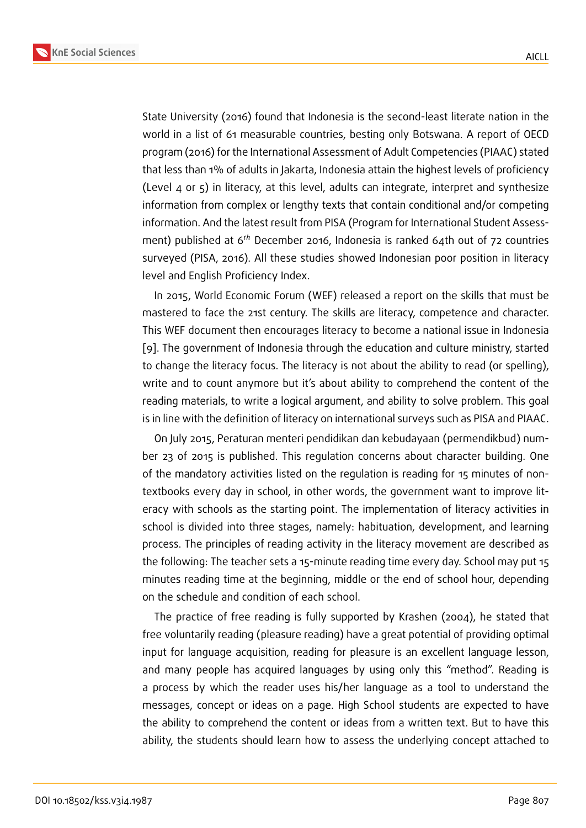State University (2016) found that Indonesia is the second-least literate nation in the world in a list of 61 measurable countries, besting only Botswana. A report of OECD program (2016) for the International Assessment of Adult Competencies (PIAAC) stated that less than 1% of adults in Jakarta, Indonesia attain the highest levels of proficiency (Level 4 or 5) in literacy, at this level, adults can integrate, interpret and synthesize information from complex or lengthy texts that contain conditional and/or competing information. And the latest result from PISA (Program for International Student Assessment) published at  $6<sup>th</sup>$  December 2016, Indonesia is ranked 64th out of 72 countries surveyed (PISA, 2016). All these studies showed Indonesian poor position in literacy level and English Proficiency Index.

In 2015, World Economic Forum (WEF) released a report on the skills that must be mastered to face the 21st century. The skills are literacy, competence and character. This WEF document then encourages literacy to become a national issue in Indonesia [9]. The government of Indonesia through the education and culture ministry, started to change the literacy focus. The literacy is not about the ability to read (or spelling), write and to count anymore but it's about ability to comprehend the content of the r[ea](#page-8-0)ding materials, to write a logical argument, and ability to solve problem. This goal is in line with the definition of literacy on international surveys such as PISA and PIAAC.

On July 2015, Peraturan menteri pendidikan dan kebudayaan (permendikbud) number 23 of 2015 is published. This regulation concerns about character building. One of the mandatory activities listed on the regulation is reading for 15 minutes of nontextbooks every day in school, in other words, the government want to improve literacy with schools as the starting point. The implementation of literacy activities in school is divided into three stages, namely: habituation, development, and learning process. The principles of reading activity in the literacy movement are described as the following: The teacher sets a 15-minute reading time every day. School may put 15 minutes reading time at the beginning, middle or the end of school hour, depending on the schedule and condition of each school.

The practice of free reading is fully supported by Krashen (2004), he stated that free voluntarily reading (pleasure reading) have a great potential of providing optimal input for language acquisition, reading for pleasure is an excellent language lesson, and many people has acquired languages by using only this "method". Reading is a process by which the reader uses his/her language as a tool to understand the messages, concept or ideas on a page. High School students are expected to have the ability to comprehend the content or ideas from a written text. But to have this ability, the students should learn how to assess the underlying concept attached to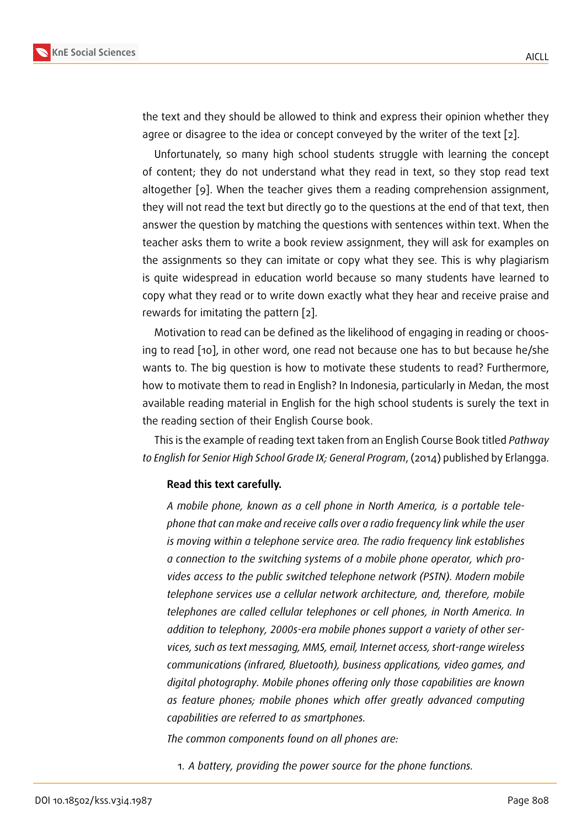the text and they should be allowed to think and express their opinion whether they agree or disagree to the idea or concept conveyed by the writer of the text [2].

Unfortunately, so many high school students struggle with learning the concept of content; they do not understand what they read in text, so they stop read text altogether [9]. When the teacher gives them a reading comprehension ass[ig](#page-8-1)nment, they will not read the text but directly go to the questions at the end of that text, then answer the question by matching the questions with sentences within text. When the teacher ask[s](#page-8-0) them to write a book review assignment, they will ask for examples on the assignments so they can imitate or copy what they see. This is why plagiarism is quite widespread in education world because so many students have learned to copy what they read or to write down exactly what they hear and receive praise and rewards for imitating the pattern [2].

Motivation to read can be defined as the likelihood of engaging in reading or choosing to read [10], in other word, one read not because one has to but because he/she wants to. The big question is ho[w t](#page-8-1)o motivate these students to read? Furthermore, how to motivate them to read in English? In Indonesia, particularly in Medan, the most available re[adin](#page-8-2)g material in English for the high school students is surely the text in the reading section of their English Course book.

This is the example of reading text taken from an English Course Book titled *Pathway to English for Senior High School Grade IX; General Program*, (2014) published by Erlangga.

#### **Read this text carefully.**

*A mobile phone, known as a cell phone in North America, is a portable telephone that can make and receive calls over a radio frequency link while the user is moving within a telephone service area. The radio frequency link establishes a connection to the switching systems of a mobile phone operator, which provides access to the public switched telephone network (PSTN). Modern mobile telephone services use a cellular network architecture, and, therefore, mobile telephones are called cellular telephones or cell phones, in North America. In addition to telephony, 2000s-era mobile phones support a variety of other services, such as text messaging, MMS, email, Internet access, short-range wireless communications (infrared, Bluetooth), business applications, video games, and digital photography. Mobile phones offering only those capabilities are known as feature phones; mobile phones which offer greatly advanced computing capabilities are referred to as smartphones.*

*The common components found on all phones are:*

1. *A battery, providing the power source for the phone functions.*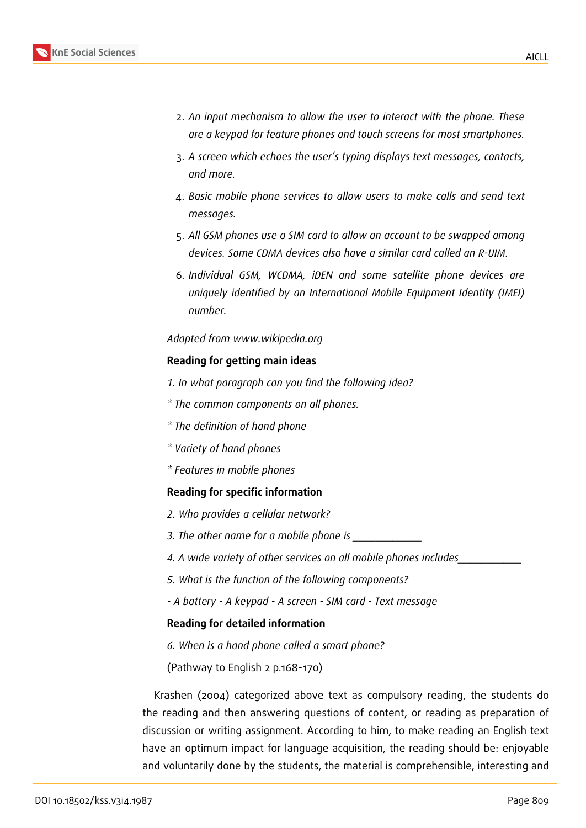- 2. *An input mechanism to allow the user to interact with the phone. These are a keypad for feature phones and touch screens for most smartphones.*
- 3. *A screen which echoes the user's typing displays text messages, contacts, and more.*
- 4. *Basic mobile phone services to allow users to make calls and send text messages.*
- 5. *All GSM phones use a SIM card to allow an account to be swapped among devices. Some CDMA devices also have a similar card called an R-UIM.*
- 6. *Individual GSM, WCDMA, iDEN and some satellite phone devices are uniquely identified by an International Mobile Equipment Identity (IMEI) number.*

#### *Adapted from www.wikipedia.org*

#### **Reading for getting main ideas**

- *1. In what paragraph can you find the following idea?*
- *\* The common components on all phones.*
- *\* The definition of hand phone*
- *\* Variety of hand phones*
- *\* Features in mobile phones*

#### **Reading for specific information**

- *2. Who provides a cellular network?*
- *3. The other name for a mobile phone is \_\_\_\_\_\_\_\_\_\_\_\_*
- *4. A wide variety of other services on all mobile phones includes\_\_\_\_\_\_\_\_\_\_\_*
- *5. What is the function of the following components?*
- *A battery A keypad A screen SIM card Text message*

#### **Reading for detailed information**

- *6. When is a hand phone called a smart phone?*
- (Pathway to English 2 p.168-170)

Krashen (2004) categorized above text as compulsory reading, the students do the reading and then answering questions of content, or reading as preparation of discussion or writing assignment. According to him, to make reading an English text have an optimum impact for language acquisition, the reading should be: enjoyable and voluntarily done by the students, the material is comprehensible, interesting and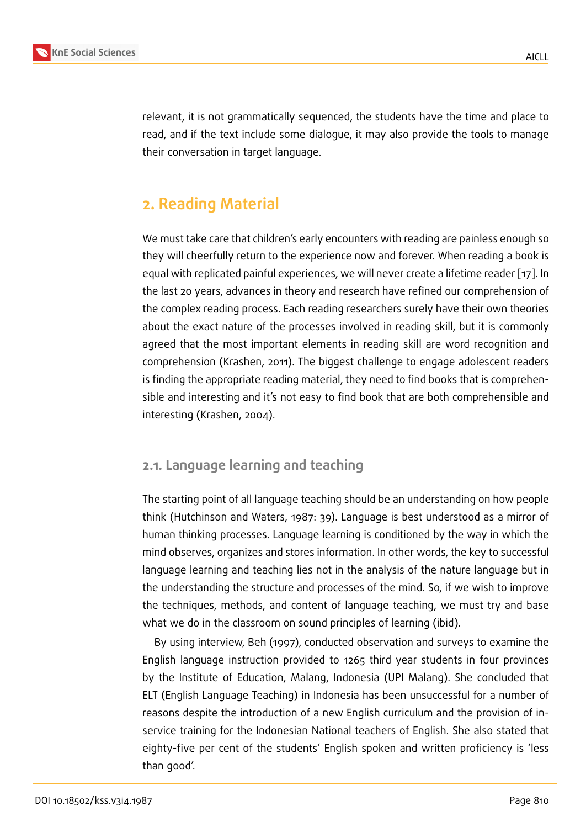relevant, it is not grammatically sequenced, the students have the time and place to read, and if the text include some dialogue, it may also provide the tools to manage their conversation in target language.

## **2. Reading Material**

We must take care that children's early encounters with reading are painless enough so they will cheerfully return to the experience now and forever. When reading a book is equal with replicated painful experiences, we will never create a lifetime reader [17]. In the last 20 years, advances in theory and research have refined our comprehension of the complex reading process. Each reading researchers surely have their own theories about the exact nature of the processes involved in reading skill, but it is com[mo](#page-9-0)nly agreed that the most important elements in reading skill are word recognition and comprehension (Krashen, 2011). The biggest challenge to engage adolescent readers is finding the appropriate reading material, they need to find books that is comprehensible and interesting and it's not easy to find book that are both comprehensible and interesting (Krashen, 2004).

## **2.1. Language learning and teaching**

The starting point of all language teaching should be an understanding on how people think (Hutchinson and Waters, 1987: 39). Language is best understood as a mirror of human thinking processes. Language learning is conditioned by the way in which the mind observes, organizes and stores information. In other words, the key to successful language learning and teaching lies not in the analysis of the nature language but in the understanding the structure and processes of the mind. So, if we wish to improve the techniques, methods, and content of language teaching, we must try and base what we do in the classroom on sound principles of learning (ibid).

By using interview, Beh (1997), conducted observation and surveys to examine the English language instruction provided to 1265 third year students in four provinces by the Institute of Education, Malang, Indonesia (UPI Malang). She concluded that ELT (English Language Teaching) in Indonesia has been unsuccessful for a number of reasons despite the introduction of a new English curriculum and the provision of inservice training for the Indonesian National teachers of English. She also stated that eighty-five per cent of the students' English spoken and written proficiency is 'less than good'.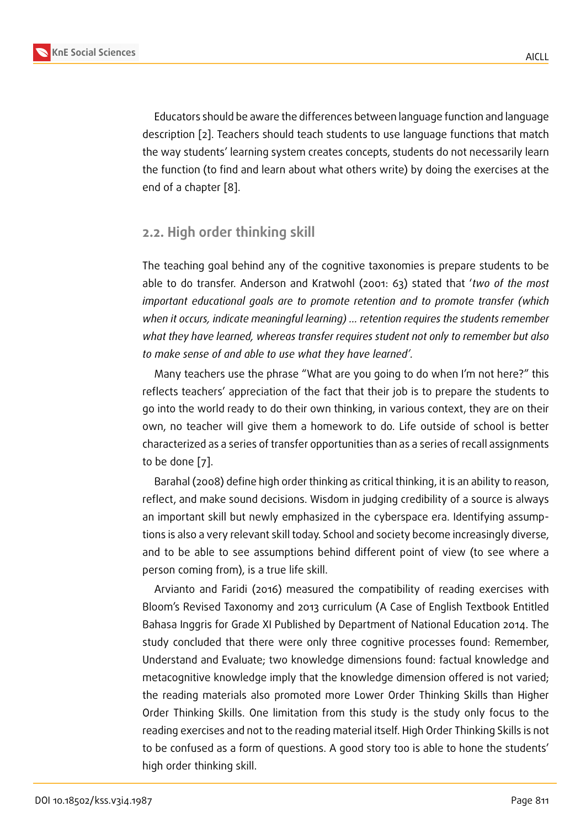Educators should be aware the differences between language function and language description [2]. Teachers should teach students to use language functions that match the way students' learning system creates concepts, students do not necessarily learn the function (to find and learn about what others write) by doing the exercises at the end of a cha[pt](#page-8-1)er [8].

## **2.2. High orde[r](#page-8-3) thinking skill**

The teaching goal behind any of the cognitive taxonomies is prepare students to be able to do transfer. Anderson and Kratwohl (2001: 63) stated that '*two of the most important educational goals are to promote retention and to promote transfer (which when it occurs, indicate meaningful learning) … retention requires the students remember what they have learned, whereas transfer requires student not only to remember but also to make sense of and able to use what they have learned'.*

Many teachers use the phrase "What are you going to do when I'm not here?" this reflects teachers' appreciation of the fact that their job is to prepare the students to go into the world ready to do their own thinking, in various context, they are on their own, no teacher will give them a homework to do. Life outside of school is better characterized as a series of transfer opportunities than as a series of recall assignments to be done [7].

Barahal (2008) define high order thinking as critical thinking, it is an ability to reason, reflect, and make sound decisions. Wisdom in judging credibility of a source is always an importa[nt](#page-8-4) skill but newly emphasized in the cyberspace era. Identifying assumptions is also a very relevant skill today. School and society become increasingly diverse, and to be able to see assumptions behind different point of view (to see where a person coming from), is a true life skill.

Arvianto and Faridi (2016) measured the compatibility of reading exercises with Bloom's Revised Taxonomy and 2013 curriculum (A Case of English Textbook Entitled Bahasa Inggris for Grade XI Published by Department of National Education 2014. The study concluded that there were only three cognitive processes found: Remember, Understand and Evaluate; two knowledge dimensions found: factual knowledge and metacognitive knowledge imply that the knowledge dimension offered is not varied; the reading materials also promoted more Lower Order Thinking Skills than Higher Order Thinking Skills. One limitation from this study is the study only focus to the reading exercises and not to the reading material itself. High Order Thinking Skills is not to be confused as a form of questions. A good story too is able to hone the students' high order thinking skill.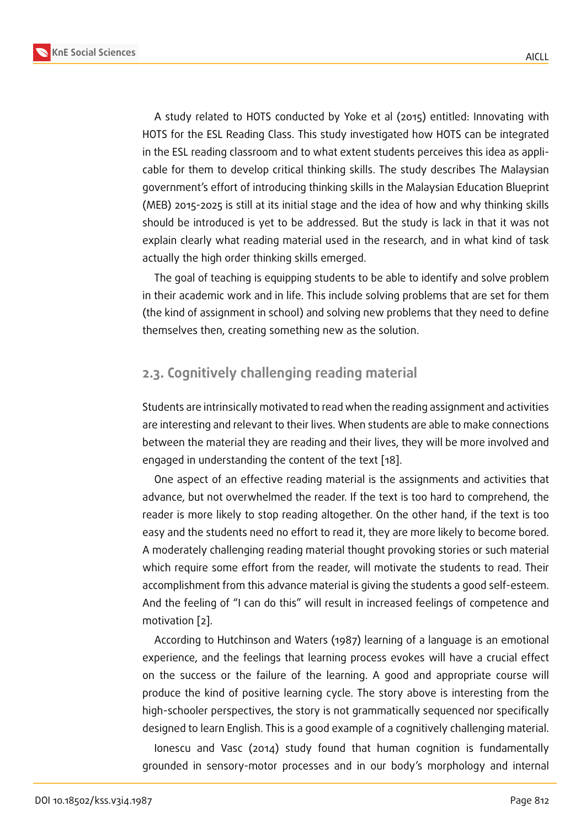A study related to HOTS conducted by Yoke et al (2015) entitled: Innovating with HOTS for the ESL Reading Class. This study investigated how HOTS can be integrated in the ESL reading classroom and to what extent students perceives this idea as applicable for them to develop critical thinking skills. The study describes The Malaysian government's effort of introducing thinking skills in the Malaysian Education Blueprint (MEB) 2015-2025 is still at its initial stage and the idea of how and why thinking skills should be introduced is yet to be addressed. But the study is lack in that it was not explain clearly what reading material used in the research, and in what kind of task actually the high order thinking skills emerged.

The goal of teaching is equipping students to be able to identify and solve problem in their academic work and in life. This include solving problems that are set for them (the kind of assignment in school) and solving new problems that they need to define themselves then, creating something new as the solution.

## **2.3. Cognitively challenging reading material**

Students are intrinsically motivated to read when the reading assignment and activities are interesting and relevant to their lives. When students are able to make connections between the material they are reading and their lives, they will be more involved and engaged in understanding the content of the text [18].

One aspect of an effective reading material is the assignments and activities that advance, but not overwhelmed the reader. If the text is too hard to comprehend, the reader is more likely to stop reading altogether. O[n t](#page-9-1)he other hand, if the text is too easy and the students need no effort to read it, they are more likely to become bored. A moderately challenging reading material thought provoking stories or such material which require some effort from the reader, will motivate the students to read. Their accomplishment from this advance material is giving the students a good self-esteem. And the feeling of "I can do this" will result in increased feelings of competence and motivation [2].

According to Hutchinson and Waters (1987) learning of a language is an emotional experience, and the feelings that learning process evokes will have a crucial effect on the suc[ces](#page-8-1)s or the failure of the learning. A good and appropriate course will produce the kind of positive learning cycle. The story above is interesting from the high-schooler perspectives, the story is not grammatically sequenced nor specifically designed to learn English. This is a good example of a cognitively challenging material.

Ionescu and Vasc (2014) study found that human cognition is fundamentally grounded in sensory-motor processes and in our body's morphology and internal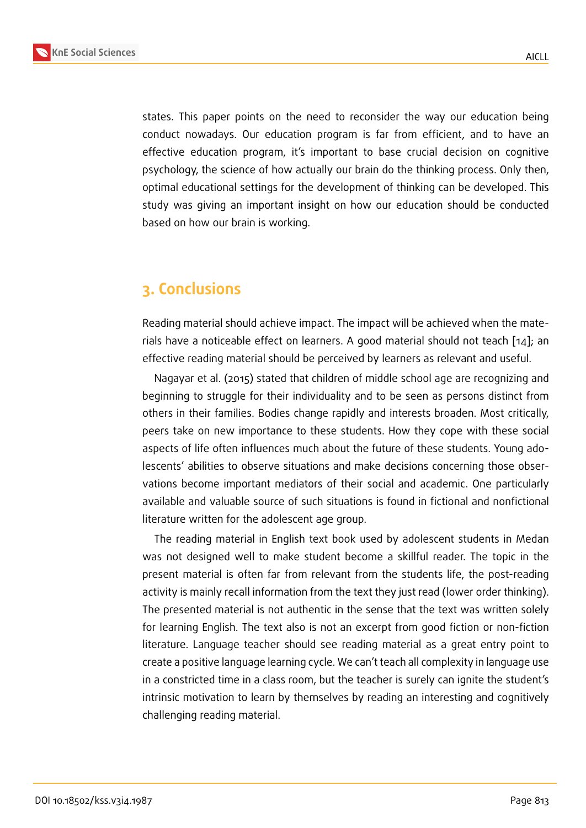states. This paper points on the need to reconsider the way our education being conduct nowadays. Our education program is far from efficient, and to have an effective education program, it's important to base crucial decision on cognitive psychology, the science of how actually our brain do the thinking process. Only then, optimal educational settings for the development of thinking can be developed. This study was giving an important insight on how our education should be conducted based on how our brain is working.

## **3. Conclusions**

Reading material should achieve impact. The impact will be achieved when the materials have a noticeable effect on learners. A good material should not teach [14]; an effective reading material should be perceived by learners as relevant and useful.

Nagayar et al. (2015) stated that children of middle school age are recognizing and beginning to struggle for their individuality and to be seen as persons distin[ct f](#page-8-5)rom others in their families. Bodies change rapidly and interests broaden. Most critically, peers take on new importance to these students. How they cope with these social aspects of life often influences much about the future of these students. Young adolescents' abilities to observe situations and make decisions concerning those observations become important mediators of their social and academic. One particularly available and valuable source of such situations is found in fictional and nonfictional literature written for the adolescent age group.

The reading material in English text book used by adolescent students in Medan was not designed well to make student become a skillful reader. The topic in the present material is often far from relevant from the students life, the post-reading activity is mainly recall information from the text they just read (lower order thinking). The presented material is not authentic in the sense that the text was written solely for learning English. The text also is not an excerpt from good fiction or non-fiction literature. Language teacher should see reading material as a great entry point to create a positive language learning cycle. We can't teach all complexity in language use in a constricted time in a class room, but the teacher is surely can ignite the student's intrinsic motivation to learn by themselves by reading an interesting and cognitively challenging reading material.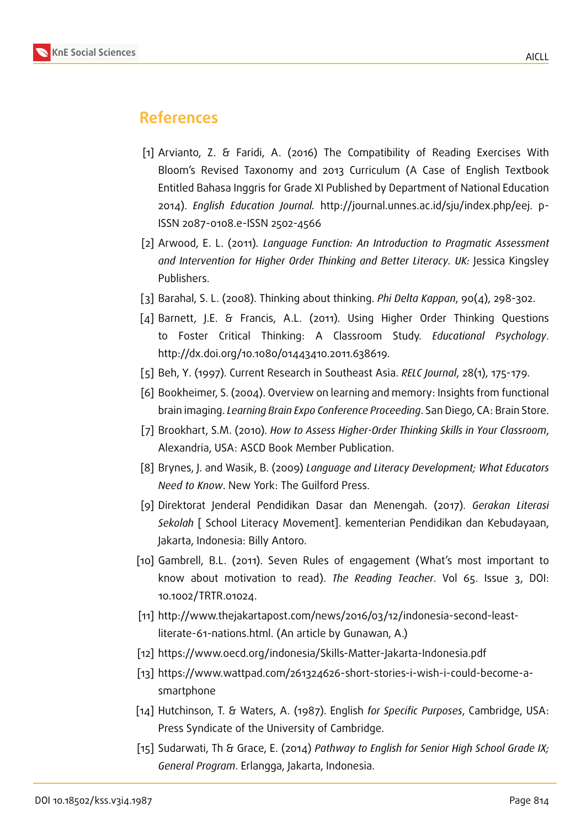

## **References**

- [1] Arvianto, Z. & Faridi, A. (2016) The Compatibility of Reading Exercises With Bloom's Revised Taxonomy and 2013 Curriculum (A Case of English Textbook Entitled Bahasa Inggris for Grade XI Published by Department of National Education 2014). *English Education Journal.* http://journal.unnes.ac.id/sju/index.php/eej. p-ISSN 2087-0108.e-ISSN 2502-4566
- <span id="page-8-1"></span>[2] Arwood, E. L. (2011)*. Language Function: An Introduction to Pragmatic Assessment and Intervention for Higher Order Thinking and Better Literacy. UK:* Jessica Kingsley Publishers.
- [3] Barahal, S. L. (2008). Thinking about thinking. *Phi Delta Kappan*, 90(4), 298-302.
- [4] Barnett, J.E. & Francis, A.L. (2011). Using Higher Order Thinking Questions to Foster Critical Thinking: A Classroom Study. *Educational Psychology*. http://dx.doi.org/10.1080/01443410.2011.638619.
- [5] Beh, Y. (1997). Current Research in Southeast Asia. *RELC Journal*, 28(1), 175-179.
- [6] Bookheimer, S. (2004). Overview on learning and memory: Insights from functional brain imaging. *Learning Brain Expo Conference Proceeding*. San Diego, CA: Brain Store.
- <span id="page-8-4"></span>[7] Brookhart, S.M. (2010). *How to Assess Higher-Order Thinking Skills in Your Classroom*, Alexandria, USA: ASCD Book Member Publication.
- <span id="page-8-3"></span>[8] Brynes, J. and Wasik, B. (2009) *Language and Literacy Development; What Educators Need to Know*. New York: The Guilford Press.
- <span id="page-8-0"></span>[9] Direktorat Jenderal Pendidikan Dasar dan Menengah. (2017). *Gerakan Literasi Sekolah* [ School Literacy Movement]. kementerian Pendidikan dan Kebudayaan, Jakarta, Indonesia: Billy Antoro.
- <span id="page-8-2"></span>[10] Gambrell, B.L. (2011). Seven Rules of engagement (What's most important to know about motivation to read). *The Reading Teacher*. Vol 65. Issue 3, DOI: 10.1002/TRTR.01024.
- [11] http://www.thejakartapost.com/news/2016/03/12/indonesia-second-leastliterate-61-nations.html. (An article by Gunawan, A.)
- [12] https://www.oecd.org/indonesia/Skills-Matter-Jakarta-Indonesia.pdf
- [13] https://www.wattpad.com/261324626-short-stories-i-wish-i-could-become-asmartphone
- <span id="page-8-5"></span>[14] Hutchinson, T. & Waters, A. (1987). English *for Specific Purposes*, Cambridge, USA: Press Syndicate of the University of Cambridge.
- [15] Sudarwati, Th & Grace, E. (2014) *Pathway to English for Senior High School Grade IX; General Program*. Erlangga, Jakarta, Indonesia.